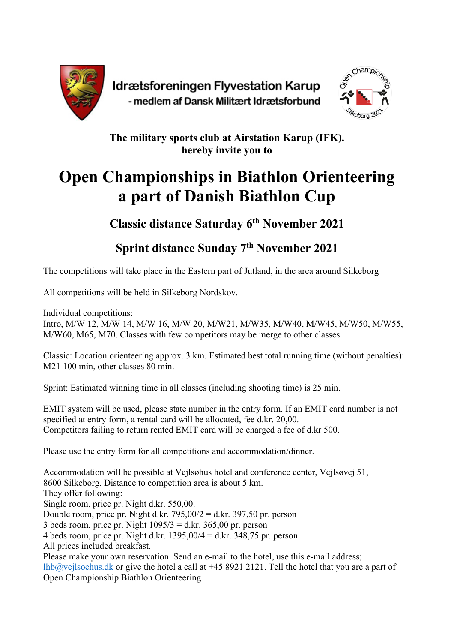

Idrætsforeningen Flyvestation Karup - medlem af Dansk Militært Idrætsforbund



**The military sports club at Airstation Karup (IFK). hereby invite you to**

## **Open Championships in Biathlon Orienteering a part of Danish Biathlon Cup**

**Classic distance Saturday 6th November 2021**

**Sprint distance Sunday 7th November 2021**

The competitions will take place in the Eastern part of Jutland, in the area around Silkeborg

All competitions will be held in Silkeborg Nordskov.

Individual competitions:

Intro, M/W 12, M/W 14, M/W 16, M/W 20, M/W21, M/W35, M/W40, M/W45, M/W50, M/W55, M/W60, M65, M70. Classes with few competitors may be merge to other classes

Classic: Location orienteering approx. 3 km. Estimated best total running time (without penalties): M21 100 min, other classes 80 min.

Sprint: Estimated winning time in all classes (including shooting time) is 25 min.

EMIT system will be used, please state number in the entry form. If an EMIT card number is not specified at entry form, a rental card will be allocated, fee d.kr. 20,00. Competitors failing to return rented EMIT card will be charged a fee of d.kr 500.

Please use the entry form for all competitions and accommodation/dinner.

Accommodation will be possible at Vejlsøhus hotel and conference center, Vejlsøvej 51, 8600 Silkeborg. Distance to competition area is about 5 km. They offer following: Single room, price pr. Night d.kr. 550,00. Double room, price pr. Night d.kr.  $795,00/2 =$  d.kr. 397,50 pr. person 3 beds room, price pr. Night  $1095/3 = d$ kr. 365,00 pr. person 4 beds room, price pr. Night d.kr.  $1395,00/4 =$  d.kr.  $348,75$  pr. person All prices included breakfast. Please make your own reservation. Send an e-mail to the hotel, use this e-mail address; lhb@vejlsoehus.dk or give the hotel a call at +45 8921 2121. Tell the hotel that you are a part of Open Championship Biathlon Orienteering